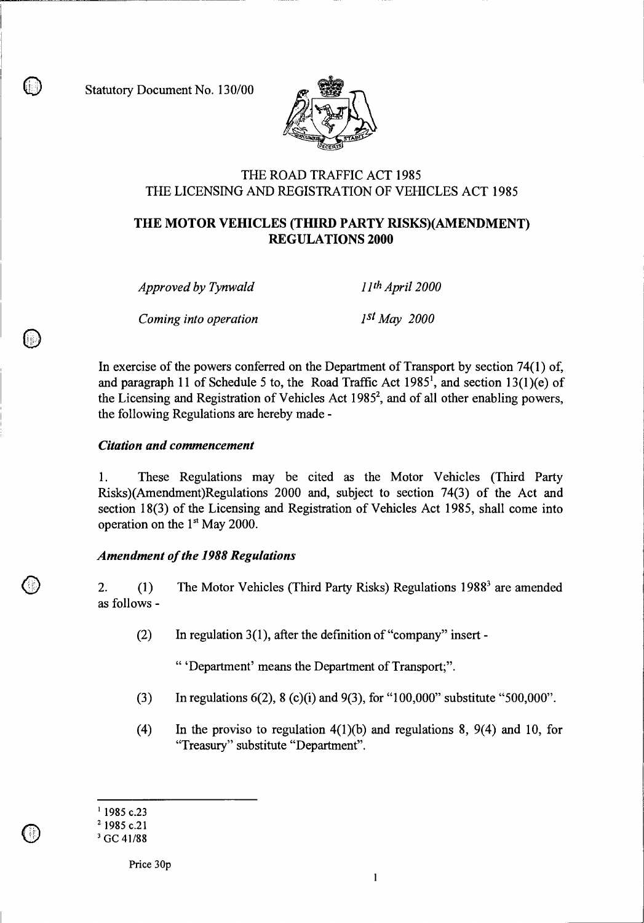Statutory Document No. 130/00



## THE ROAD TRAFFIC ACT 1985 THE LICENSING AND REGISTRATION OF VEHICLES ACT 1985

# **THE MOTOR VEHICLES (THIRD PARTY RISKS)(AMENDMENT) REGULATIONS 2000**

*Approved by Tynwald llth April 2000* 

*Coming into operation* 1st May 2000

In exercise of the powers conferred on the Department of Transport by section 74(1) of, and paragraph 11 of Schedule 5 to, the Road Traffic Act  $1985^1$ , and section  $13(1)(e)$  of the Licensing and Registration of Vehicles Act 1985<sup>2</sup>, and of all other enabling powers, the following Regulations are hereby made -

#### *Citation and commencement*

1. These Regulations may be cited as the Motor Vehicles (Third Party Risks)(Amendment)Regulations 2000 and, subject to section 74(3) of the Act and section 18(3) of the Licensing and Registration of Vehicles Act 1985, shall come into operation on the  $1<sup>st</sup>$  May 2000.

### *Amendment of the 1988 Regulations*

2. (1) The Motor Vehicles (Third Party Risks) Regulations 1988' are amended as follows -

(2) In regulation 3(1), after the definition of "company" insert -

" 'Department' means the Department of Transport;".

- (3) In regulations  $6(2)$ ,  $8(2)(i)$  and  $9(3)$ , for "100,000" substitute "500,000".
- (4) In the proviso to regulation 4(1)(b) and regulations 8, 9(4) and 10, for "Treasury" substitute "Department".

 $\mathbb U$ 

<sup>&</sup>lt;sup>1</sup> 1985 c.23

<sup>&</sup>lt;sup>2</sup> 1985 c.21

<sup>&</sup>lt;sup>3</sup> GC 41/88